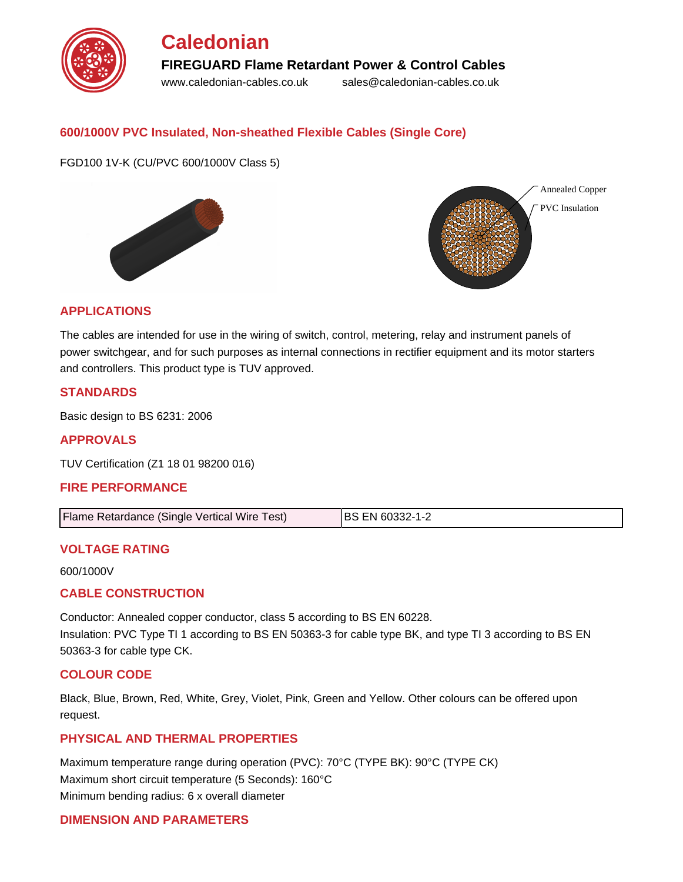

### **600/1000V PVC Insulated, Non-sheathed Flexible Cables (Single Core)**

FGD100 1V-K (CU/PVC 600/1000V Class 5)





#### **APPLICATIONS**

The cables are intended for use in the wiring of switch, control, metering, relay and instrument panels of power switchgear, and for such purposes as internal connections in rectifier equipment and its motor starters and controllers. This product type is TUV approved.

#### **STANDARDS**

Basic design to BS 6231: 2006

**APPROVALS**

TUV Certification (Z1 18 01 98200 016)

#### **FIRE PERFORMANCE**

| Flame Retardance (Single Vertical Wire Test) | <b>IBS EN 60332-1-2</b> |
|----------------------------------------------|-------------------------|
|                                              |                         |

#### **VOLTAGE RATING**

600/1000V

#### **CABLE CONSTRUCTION**

Conductor: Annealed copper conductor, class 5 according to BS EN 60228. Insulation: PVC Type TI 1 according to BS EN 50363-3 for cable type BK, and type TI 3 according to BS EN 50363-3 for cable type CK.

#### **COLOUR CODE**

Black, Blue, Brown, Red, White, Grey, Violet, Pink, Green and Yellow. Other colours can be offered upon request.

#### **PHYSICAL AND THERMAL PROPERTIES**

Maximum temperature range during operation (PVC): 70°C (TYPE BK): 90°C (TYPE CK) Maximum short circuit temperature (5 Seconds): 160°C Minimum bending radius: 6 x overall diameter

#### **DIMENSION AND PARAMETERS**